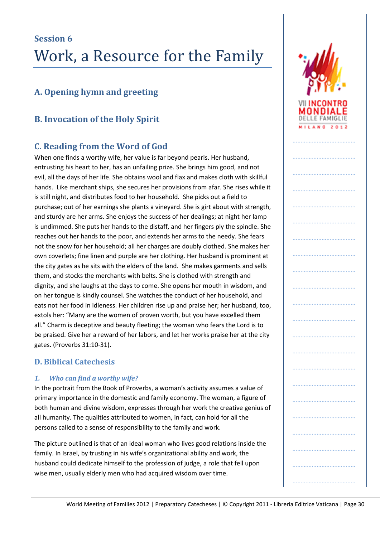## **A. Opening hymn and greeting**

## **B. Invocation of the Holy Spirit**

## **C. Reading from the Word of God**

When one finds a worthy wife, her value is far beyond pearls. Her husband, entrusting his heart to her, has an unfailing prize. She brings him good, and not evil, all the days of her life. She obtains wool and flax and makes cloth with skillful hands. Like merchant ships, she secures her provisions from afar. She rises while it is still night, and distributes food to her household. She picks out a field to purchase; out of her earnings she plants a vineyard. She is girt about with strength, and sturdy are her arms. She enjoys the success of her dealings; at night her lamp is undimmed. She puts her hands to the distaff, and her fingers ply the spindle. She reaches out her hands to the poor, and extends her arms to the needy. She fears not the snow for her household; all her charges are doubly clothed. She makes her own coverlets; fine linen and purple are her clothing. Her husband is prominent at the city gates as he sits with the elders of the land. She makes garments and sells them, and stocks the merchants with belts. She is clothed with strength and dignity, and she laughs at the days to come. She opens her mouth in wisdom, and on her tongue is kindly counsel. She watches the conduct of her household, and eats not her food in idleness. Her children rise up and praise her; her husband, too, extols her: "Many are the women of proven worth, but you have excelled them all." Charm is deceptive and beauty fleeting; the woman who fears the Lord is to be praised. Give her a reward of her labors, and let her works praise her at the city gates. (Proverbs 31:10-31).

### **D. Biblical Catechesis**

### *1. Who can find a worthy wife?*

In the portrait from the Book of Proverbs, a woman's activity assumes a value of primary importance in the domestic and family economy. The woman, a figure of both human and divine wisdom, expresses through her work the creative genius of all humanity. The qualities attributed to women, in fact, can hold for all the persons called to a sense of responsibility to the family and work.

The picture outlined is that of an ideal woman who lives good relations inside the family. In Israel, by trusting in his wife's organizational ability and work, the husband could dedicate himself to the profession of judge, a role that fell upon wise men, usually elderly men who had acquired wisdom over time.



…………………………………

……………………………………………

…………………………………………

…………………………………

…………………………………

…………………………………

…………………………………

…………………………………

…………………………………

…………………………………

…………………………………

…………………………………

…………………………………

…………………………………

…………………………………

……………………………………………

……………………………………………

…………………………………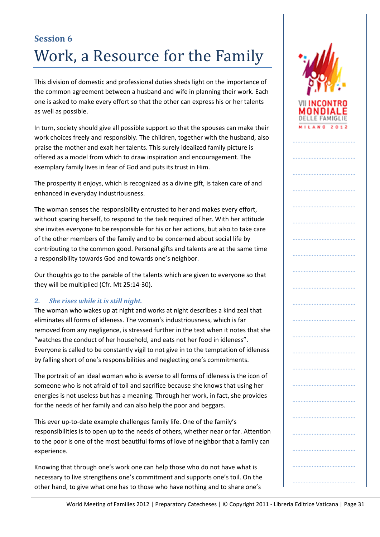This division of domestic and professional duties sheds light on the importance of the common agreement between a husband and wife in planning their work. Each one is asked to make every effort so that the other can express his or her talents as well as possible.

In turn, society should give all possible support so that the spouses can make their work choices freely and responsibly. The children, together with the husband, also praise the mother and exalt her talents. This surely idealized family picture is offered as a model from which to draw inspiration and encouragement. The exemplary family lives in fear of God and puts its trust in Him.

The prosperity it enjoys, which is recognized as a divine gift, is taken care of and enhanced in everyday industriousness.

The woman senses the responsibility entrusted to her and makes every effort, without sparing herself, to respond to the task required of her. With her attitude she invites everyone to be responsible for his or her actions, but also to take care of the other members of the family and to be concerned about social life by contributing to the common good. Personal gifts and talents are at the same time a responsibility towards God and towards one's neighbor.

Our thoughts go to the parable of the talents which are given to everyone so that they will be multiplied (Cfr. Mt 25:14-30).

### *2. She rises while it is still night.*

The woman who wakes up at night and works at night describes a kind zeal that eliminates all forms of idleness. The woman's industriousness, which is far removed from any negligence, is stressed further in the text when it notes that she "watches the conduct of her household, and eats not her food in idleness". Everyone is called to be constantly vigil to not give in to the temptation of idleness by falling short of one's responsibilities and neglecting one's commitments.

The portrait of an ideal woman who is averse to all forms of idleness is the icon of someone who is not afraid of toil and sacrifice because she knows that using her energies is not useless but has a meaning. Through her work, in fact, she provides for the needs of her family and can also help the poor and beggars.

This ever up-to-date example challenges family life. One of the family's responsibilities is to open up to the needs of others, whether near or far. Attention to the poor is one of the most beautiful forms of love of neighbor that a family can experience.

Knowing that through one's work one can help those who do not have what is necessary to live strengthens one's commitment and supports one's toil. On the other hand, to give what one has to those who have nothing and to share one's

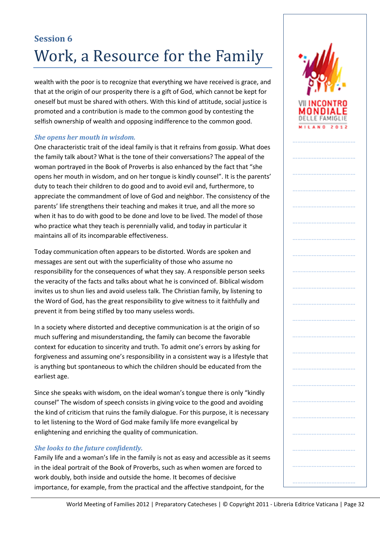wealth with the poor is to recognize that everything we have received is grace, and that at the origin of our prosperity there is a gift of God, which cannot be kept for oneself but must be shared with others. With this kind of attitude, social justice is promoted and a contribution is made to the common good by contesting the selfish ownership of wealth and opposing indifference to the common good.

#### *She opens her mouth in wisdom.*

One characteristic trait of the ideal family is that it refrains from gossip. What does the family talk about? What is the tone of their conversations? The appeal of the woman portrayed in the Book of Proverbs is also enhanced by the fact that "she opens her mouth in wisdom, and on her tongue is kindly counsel". It is the parents' duty to teach their children to do good and to avoid evil and, furthermore, to appreciate the commandment of love of God and neighbor. The consistency of the parents' life strengthens their teaching and makes it true, and all the more so when it has to do with good to be done and love to be lived. The model of those who practice what they teach is perennially valid, and today in particular it maintains all of its incomparable effectiveness.

Today communication often appears to be distorted. Words are spoken and messages are sent out with the superficiality of those who assume no responsibility for the consequences of what they say. A responsible person seeks the veracity of the facts and talks about what he is convinced of. Biblical wisdom invites us to shun lies and avoid useless talk. The Christian family, by listening to the Word of God, has the great responsibility to give witness to it faithfully and prevent it from being stifled by too many useless words.

In a society where distorted and deceptive communication is at the origin of so much suffering and misunderstanding, the family can become the favorable context for education to sincerity and truth. To admit one's errors by asking for forgiveness and assuming one's responsibility in a consistent way is a lifestyle that is anything but spontaneous to which the children should be educated from the earliest age.

Since she speaks with wisdom, on the ideal woman's tongue there is only "kindly counsel" The wisdom of speech consists in giving voice to the good and avoiding the kind of criticism that ruins the family dialogue. For this purpose, it is necessary to let listening to the Word of God make family life more evangelical by enlightening and enriching the quality of communication.

#### *She looks to the future confidently.*

Family life and a woman's life in the family is not as easy and accessible as it seems in the ideal portrait of the Book of Proverbs, such as when women are forced to work doubly, both inside and outside the home. It becomes of decisive importance, for example, from the practical and the affective standpoint, for the

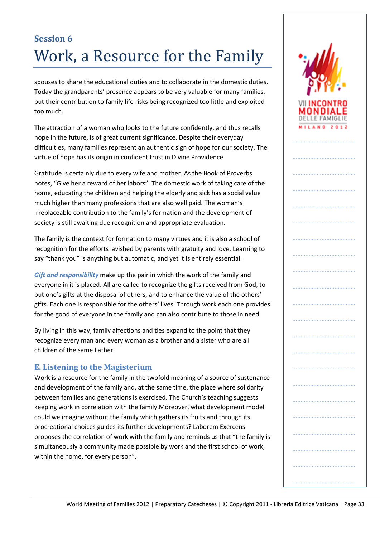spouses to share the educational duties and to collaborate in the domestic duties. Today the grandparents' presence appears to be very valuable for many families, but their contribution to family life risks being recognized too little and exploited too much.

The attraction of a woman who looks to the future confidently, and thus recalls hope in the future, is of great current significance. Despite their everyday difficulties, many families represent an authentic sign of hope for our society. The virtue of hope has its origin in confident trust in Divine Providence.

Gratitude is certainly due to every wife and mother. As the Book of Proverbs notes, "Give her a reward of her labors". The domestic work of taking care of the home, educating the children and helping the elderly and sick has a social value much higher than many professions that are also well paid. The woman's irreplaceable contribution to the family's formation and the development of society is still awaiting due recognition and appropriate evaluation.

The family is the context for formation to many virtues and it is also a school of recognition for the efforts lavished by parents with gratuity and love. Learning to say "thank you" is anything but automatic, and yet it is entirely essential.

*Gift and responsibility* make up the pair in which the work of the family and everyone in it is placed. All are called to recognize the gifts received from God, to put one's gifts at the disposal of others, and to enhance the value of the others' gifts. Each one is responsible for the others' lives. Through work each one provides for the good of everyone in the family and can also contribute to those in need.

By living in this way, family affections and ties expand to the point that they recognize every man and every woman as a brother and a sister who are all children of the same Father.

### **E. Listening to the Magisterium**

Work is a resource for the family in the twofold meaning of a source of sustenance and development of the family and, at the same time, the place where solidarity between families and generations is exercised. The Church's teaching suggests keeping work in correlation with the family.Moreover, what development model could we imagine without the family which gathers its fruits and through its procreational choices guides its further developments? Laborem Exercens proposes the correlation of work with the family and reminds us that "the family is simultaneously a community made possible by work and the first school of work, within the home, for every person".



……………………………………………

…………………………………

……………………………………

…………………………………

…………………………………

…………………………………

…………………………………

…………………………………

…………………………………

…………………………………

…………………………………

…………………………………………

…………………………………

……………………………………………

…………………………………

…………………………………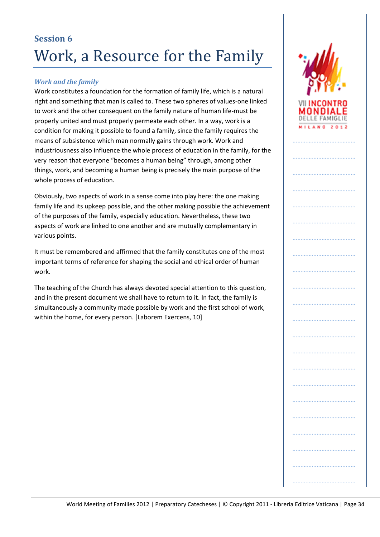#### *Work and the family*

Work constitutes a foundation for the formation of family life, which is a natural right and something that man is called to. These two spheres of values-one linked to work and the other consequent on the family nature of human life-must be properly united and must properly permeate each other. In a way, work is a condition for making it possible to found a family, since the family requires the means of subsistence which man normally gains through work. Work and industriousness also influence the whole process of education in the family, for the very reason that everyone "becomes a human being" through, among other things, work, and becoming a human being is precisely the main purpose of the whole process of education.

Obviously, two aspects of work in a sense come into play here: the one making family life and its upkeep possible, and the other making possible the achievement of the purposes of the family, especially education. Nevertheless, these two aspects of work are linked to one another and are mutually complementary in various points.

It must be remembered and affirmed that the family constitutes one of the most important terms of reference for shaping the social and ethical order of human work.

The teaching of the Church has always devoted special attention to this question, and in the present document we shall have to return to it. In fact, the family is simultaneously a community made possible by work and the first school of work, within the home, for every person. [Laborem Exercens, 10]



……………………………………

…………………………………

……………………………………………

……………………………………………

……………………………………

…………………………………

…………………………………

…………………………………

…………………………………

…………………………………

…………………………………

……………………………………

……………………………………………

…………………………………

…………………………………

…………………………………

…………………………………

…………………………………